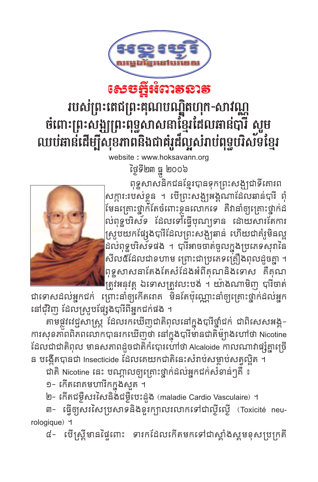

## របស់ព្រះតេជព្រះគុណបណ្ឌិតហុក-សាវណ្ណ ចំពោះព្រះសង្ឍព្រះពុទ្ធសាសនាខ្មែរដែលធាន់បារី សូម ឈប់ធាន់ដើម្បីសុខភាពនិងជាគំរូដ៏ល្អសំរាប់ពុទ្ធបរិស័ទខ្មែរ

website: www.hoksavann.org

ថ្ងៃទី២៣ ធ្នូ ២០០៦



ពុទ្ធសាសនិកជនខ្មែរបានទុកព្រះសង្កជាទីគោរព សក្ការៈរបស់ខ្លួន ។ បើព្រះសង្ឃអង្គណាដែលរាន់បារី ពុំ មែនក្រោះថ្នាក់តែចំពោះខ្លួនលោកទេ គឺវានាំឲ្យគ្រោះថ្នាក់ដ ល់ពុទ្ធបរិស័ទ ដែលទៅធ្មើបុណ្យទាន ដោយសារតែការ ស្រុបយកផ្សែងបារីដែលព្រះសង្ឍធាន់ ហើយជាគំរូមិនល្អ u<br>ដល់ពុទ្ឋបរិស័ទផង ។ បារីអាចចាត់ចូលក្នុងប្រភេទសុរានៃ សីល៥ដែលជាខហាម ព្រោះជាប្រភេទត្រឿងពុលដួចគ្នា ។ ពុទ្ធសាសនាតែងតែសំដែងអំពីគុណនិងទោស គឺគុណ |ត្រូវអនុវត្ត ឯទោសត្រូវលះបង់ ។ យ៉ាងណាមិញ បារី់ចាត់

ជាទោសដល់អ្នកជក់ ព្រោះនាំឲ្យកើតរោគ មិនតែប៉ុណ្ណោះនាំឲ្យគ្រោះថ្នាក់ដល់អ្នក នៅជុំវិញ ដែលស្រុបផ្សែងបារីពីអ្នកជក់ផង ។

តាមផ្លូវវេជ្ជសាស្រ្ត ដែលរកឃើញជាតិពុលនៅក្នុងបារីថ្នាំជក់ ជាពិសេសអង្គ-ការសុខភាពពិភពលោកបានរកឃើញថា នៅក្នុងបារីមានជាតិម៉្យាងហៅថា Nicotine ដែលជាជាតិពុល មានសភាពដូចជាតិកំបោរហៅថា Alcaloide កាលណាវាផ្សំគ្នាច្រើ ន បង្កើតបានជា Insecticide ដែលគេយកជាតិនេះសំរាប់សម្លាប់សតល្អិត ។

ជាតិ Nicotine នេះ បណ្តាលឲ្យគ្រោះថ្នាក់ដល់អ្នកជក់សំខាន់ៗគឺ ៖

១- កើតរោគមហាវិកក្នុងស្ងួត ។

២- កើតជម្ងឺសរសៃនិង់ជម្ងឺបេះដួង (maladie Cardio Vasculaire) ។

៣– ធ្វើឲ្យសរសៃប្រសាទនិងខ្ចុរក្បាលរលាកទៅជាល្វីល្វើ (Toxicité neurologique) ។

៨- បើស្ត្រីមានផ្ទៃពោះ ទារកដែលកើតមកទៅជាស្តាំងស្តមខុសប្រក្រតី